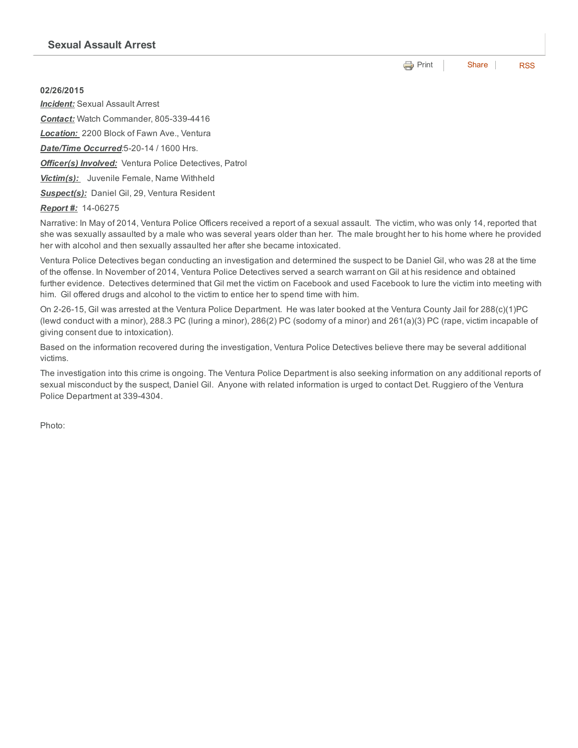## 02/26/2015

*Incident:* Sexual Assault Arrest **Contact:** Watch Commander, 805-339-4416 *Location:* 2200 Block of Fawn Ave., Ventura **Date/Time Occurred:**5-20-14 / 1600 Hrs. *Officer(s) Involved:* Ventura Police Detectives, Patrol *Victim(s):* Juvenile Female, Name Withheld *Suspect(s):* Daniel Gil, 29, Ventura Resident

## *Report #:* 1406275

Narrative: In May of 2014, Ventura Police Officers received a report of a sexual assault. The victim, who was only 14, reported that she was sexually assaulted by a male who was several years older than her. The male brought her to his home where he provided her with alcohol and then sexually assaulted her after she became intoxicated.

Ventura Police Detectives began conducting an investigation and determined the suspect to be Daniel Gil, who was 28 at the time of the offense. In November of 2014, Ventura Police Detectives served a search warrant on Gil at his residence and obtained further evidence. Detectives determined that Gil met the victim on Facebook and used Facebook to lure the victim into meeting with him. Gil offered drugs and alcohol to the victim to entice her to spend time with him.

On 22615, Gil was arrested at the Ventura Police Department. He was later booked at the Ventura County Jail for 288(c)(1)PC (lewd conduct with a minor), 288.3 PC (luring a minor), 286(2) PC (sodomy of a minor) and 261(a)(3) PC (rape, victim incapable of giving consent due to intoxication).

Based on the information recovered during the investigation, Ventura Police Detectives believe there may be several additional victims.

The investigation into this crime is ongoing. The Ventura Police Department is also seeking information on any additional reports of sexual misconduct by the suspect, Daniel Gil. Anyone with related information is urged to contact Det. Ruggiero of the Ventura Police Department at 339-4304.

Photo:

**e** [Print](http://www.cityofventura.net/print/16533) | [Share](javascript:void(0)) | [RSS](http://www.cityofventura.net/feed/press_release/rss.xml)